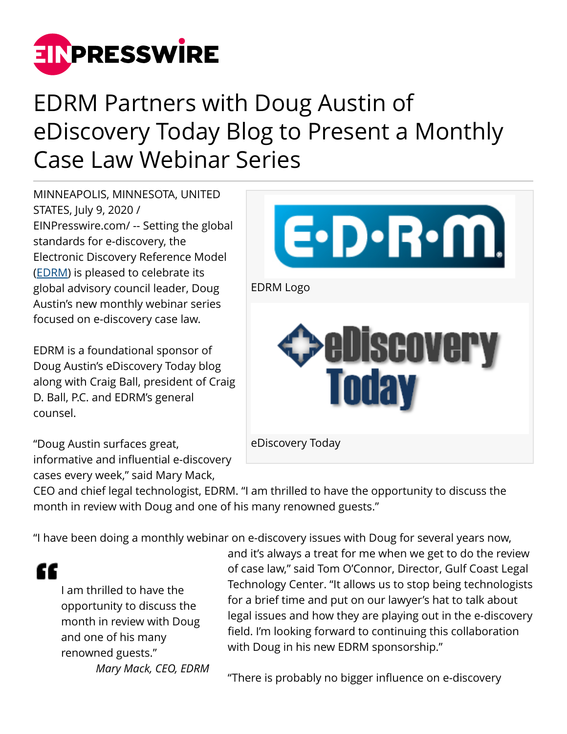

## EDRM Partners with Doug Austin of eDiscovery Today Blog to Present a Monthly Case Law Webinar Series

MINNEAPOLIS, MINNESOTA, UNITED STATES, July 9, 2020 / [EINPresswire.com](http://www.einpresswire.com)/ -- Setting the global standards for e-discovery, the Electronic Discovery Reference Model ([EDRM](http://edrm.net)) is pleased to celebrate its global advisory council leader, Doug Austin's new monthly webinar series focused on e-discovery case law.

EDRM is a foundational sponsor of Doug Austin's eDiscovery Today blog along with Craig Ball, president of Craig D. Ball, P.C. and EDRM's general counsel.

"Doug Austin surfaces great, informative and influential e-discovery cases every week," said Mary Mack,



CEO and chief legal technologist, EDRM. "I am thrilled to have the opportunity to discuss the month in review with Doug and one of his many renowned guests."

"I have been doing a monthly webinar on e-discovery issues with Doug for several years now,

"

I am thrilled to have the opportunity to discuss the month in review with Doug and one of his many renowned guests." *Mary Mack, CEO, EDRM*

and it's always a treat for me when we get to do the review of case law," said Tom O'Connor, Director, Gulf Coast Legal Technology Center. "It allows us to stop being technologists for a brief time and put on our lawyer's hat to talk about legal issues and how they are playing out in the e-discovery field. I'm looking forward to continuing this collaboration with Doug in his new EDRM sponsorship."

"There is probably no bigger influence on e-discovery